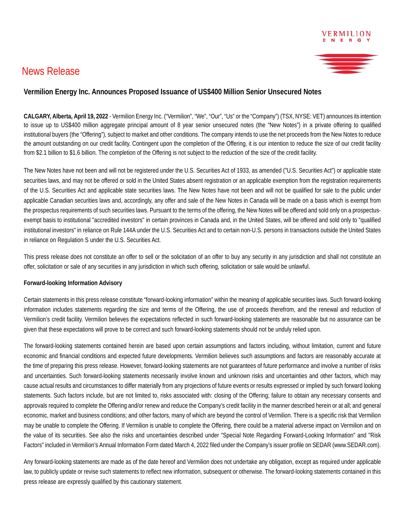## News Release



## **Vermilion Energy Inc. Announces Proposed Issuance of US\$400 Million Senior Unsecured Notes**

**CALGARY, Alberta, April 19, 2022** - Vermilion Energy Inc. ("Vermilion", "We", "Our", "Us" or the "Company") (TSX, NYSE: VET) announces its intention to issue up to US\$400 million aggregate principal amount of 8 year senior unsecured notes (the "New Notes") in a private offering to qualified institutional buyers (the "Offering"), subject to market and other conditions. The company intends to use the net proceeds from the New Notes to reduce the amount outstanding on our credit facility. Contingent upon the completion of the Offering, it is our intention to reduce the size of our credit facility from \$2.1 billion to \$1.6 billion. The completion of the Offering is not subject to the reduction of the size of the credit facility.

The New Notes have not been and will not be registered under the U.S. Securities Act of 1933, as amended ("U.S. Securities Act") or applicable state securities laws, and may not be offered or sold in the United States absent registration or an applicable exemption from the registration requirements of the U.S. Securities Act and applicable state securities laws. The New Notes have not been and will not be qualified for sale to the public under applicable Canadian securities laws and, accordingly, any offer and sale of the New Notes in Canada will be made on a basis which is exempt from the prospectus requirements of such securities laws. Pursuant to the terms of the offering, the New Notes will be offered and sold only on a prospectusexempt basis to institutional "accredited investors" in certain provinces in Canada and, in the United States, will be offered and sold only to "qualified institutional investors" in reliance on Rule 144A under the U.S. Securities Act and to certain non-U.S. persons in transactions outside the United States in reliance on Regulation S under the U.S. Securities Act.

This press release does not constitute an offer to sell or the solicitation of an offer to buy any security in any jurisdiction and shall not constitute an offer, solicitation or sale of any securities in any jurisdiction in which such offering, solicitation or sale would be unlawful.

## **Forward-looking Information Advisory**

Certain statements in this press release constitute "forward-looking information" within the meaning of applicable securities laws. Such forward-looking information includes statements regarding the size and terms of the Offering, the use of proceeds therefrom, and the renewal and reduction of Vermilion's credit facility. Vermilion believes the expectations reflected in such forward-looking statements are reasonable but no assurance can be given that these expectations will prove to be correct and such forward-looking statements should not be unduly relied upon.

The forward-looking statements contained herein are based upon certain assumptions and factors including, without limitation, current and future economic and financial conditions and expected future developments. Vermilion believes such assumptions and factors are reasonably accurate at the time of preparing this press release. However, forward-looking statements are not guarantees of future performance and involve a number of risks and uncertainties. Such forward-looking statements necessarily involve known and unknown risks and uncertainties and other factors, which may cause actual results and circumstances to differ materially from any projections of future events or results expressed or implied by such forward looking statements. Such factors include, but are not limited to, risks associated with: closing of the Offering; failure to obtain any necessary consents and approvals required to complete the Offering and/or renew and reduce the Company's credit facility in the manner described herein or at all; and general economic, market and business conditions; and other factors, many of which are beyond the control of Vermilion. There is a specific risk that Vermilion may be unable to complete the Offering. If Vermilion is unable to complete the Offering, there could be a material adverse impact on Vermilion and on the value of its securities. See also the risks and uncertainties described under "Special Note Regarding Forward-Looking Information" and "Risk Factors" included in Vermilion's Annual Information Form dated March 4, 2022 filed under the Company's issuer profile on SEDAR (www.SEDAR.com).

Any forward-looking statements are made as of the date hereof and Vermilion does not undertake any obligation, except as required under applicable law, to publicly update or revise such statements to reflect new information, subsequent or otherwise. The forward-looking statements contained in this press release are expressly qualified by this cautionary statement.